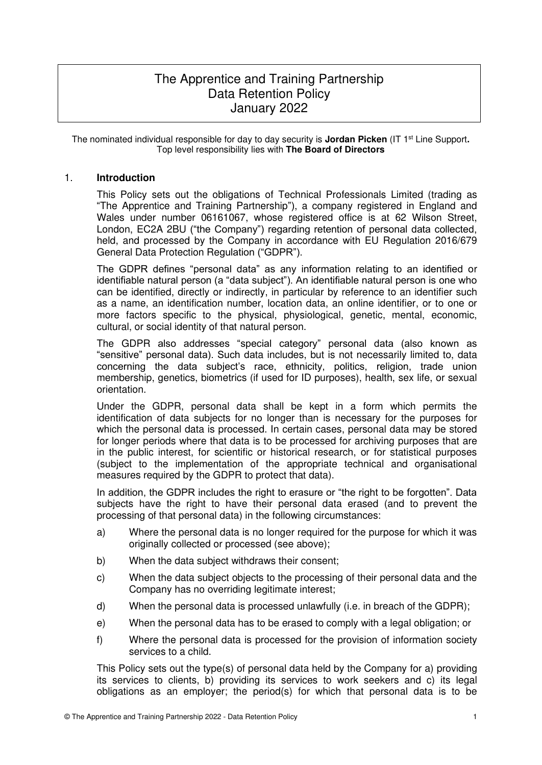# The Apprentice and Training Partnership Data Retention Policy January 2022

The nominated individual responsible for day to day security is **Jordan Picken** (IT 1st Line Support**.**  Top level responsibility lies with **The Board of Directors**

# 1. **Introduction**

This Policy sets out the obligations of Technical Professionals Limited (trading as "The Apprentice and Training Partnership"), a company registered in England and Wales under number 06161067, whose registered office is at 62 Wilson Street, London, EC2A 2BU ("the Company") regarding retention of personal data collected, held, and processed by the Company in accordance with EU Regulation 2016/679 General Data Protection Regulation ("GDPR").

The GDPR defines "personal data" as any information relating to an identified or identifiable natural person (a "data subject"). An identifiable natural person is one who can be identified, directly or indirectly, in particular by reference to an identifier such as a name, an identification number, location data, an online identifier, or to one or more factors specific to the physical, physiological, genetic, mental, economic, cultural, or social identity of that natural person.

The GDPR also addresses "special category" personal data (also known as "sensitive" personal data). Such data includes, but is not necessarily limited to, data concerning the data subject's race, ethnicity, politics, religion, trade union membership, genetics, biometrics (if used for ID purposes), health, sex life, or sexual orientation.

Under the GDPR, personal data shall be kept in a form which permits the identification of data subjects for no longer than is necessary for the purposes for which the personal data is processed. In certain cases, personal data may be stored for longer periods where that data is to be processed for archiving purposes that are in the public interest, for scientific or historical research, or for statistical purposes (subject to the implementation of the appropriate technical and organisational measures required by the GDPR to protect that data).

In addition, the GDPR includes the right to erasure or "the right to be forgotten". Data subjects have the right to have their personal data erased (and to prevent the processing of that personal data) in the following circumstances:

- a) Where the personal data is no longer required for the purpose for which it was originally collected or processed (see above);
- b) When the data subject withdraws their consent;
- c) When the data subject objects to the processing of their personal data and the Company has no overriding legitimate interest;
- d) When the personal data is processed unlawfully (i.e. in breach of the GDPR);
- e) When the personal data has to be erased to comply with a legal obligation; or
- f) Where the personal data is processed for the provision of information society services to a child.

This Policy sets out the type(s) of personal data held by the Company for a) providing its services to clients, b) providing its services to work seekers and c) its legal obligations as an employer; the period(s) for which that personal data is to be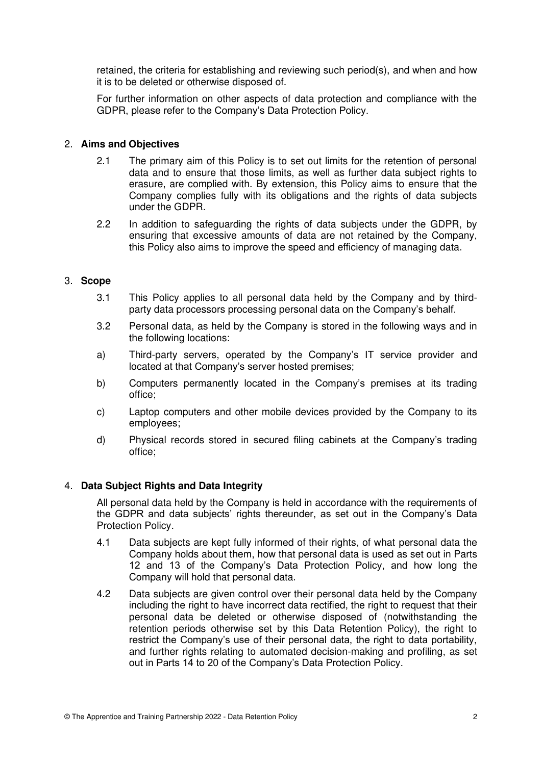retained, the criteria for establishing and reviewing such period(s), and when and how it is to be deleted or otherwise disposed of.

For further information on other aspects of data protection and compliance with the GDPR, please refer to the Company's Data Protection Policy.

## 2. **Aims and Objectives**

- 2.1 The primary aim of this Policy is to set out limits for the retention of personal data and to ensure that those limits, as well as further data subject rights to erasure, are complied with. By extension, this Policy aims to ensure that the Company complies fully with its obligations and the rights of data subjects under the GDPR.
- 2.2 In addition to safeguarding the rights of data subjects under the GDPR, by ensuring that excessive amounts of data are not retained by the Company, this Policy also aims to improve the speed and efficiency of managing data.

# 3. **Scope**

- 3.1 This Policy applies to all personal data held by the Company and by thirdparty data processors processing personal data on the Company's behalf.
- 3.2 Personal data, as held by the Company is stored in the following ways and in the following locations:
- a) Third-party servers, operated by the Company's IT service provider and located at that Company's server hosted premises;
- b) Computers permanently located in the Company's premises at its trading office;
- c) Laptop computers and other mobile devices provided by the Company to its employees;
- d) Physical records stored in secured filing cabinets at the Company's trading office;

# 4. **Data Subject Rights and Data Integrity**

All personal data held by the Company is held in accordance with the requirements of the GDPR and data subjects' rights thereunder, as set out in the Company's Data Protection Policy.

- 4.1 Data subjects are kept fully informed of their rights, of what personal data the Company holds about them, how that personal data is used as set out in Parts 12 and 13 of the Company's Data Protection Policy, and how long the Company will hold that personal data.
- 4.2 Data subjects are given control over their personal data held by the Company including the right to have incorrect data rectified, the right to request that their personal data be deleted or otherwise disposed of (notwithstanding the retention periods otherwise set by this Data Retention Policy), the right to restrict the Company's use of their personal data, the right to data portability, and further rights relating to automated decision-making and profiling, as set out in Parts 14 to 20 of the Company's Data Protection Policy.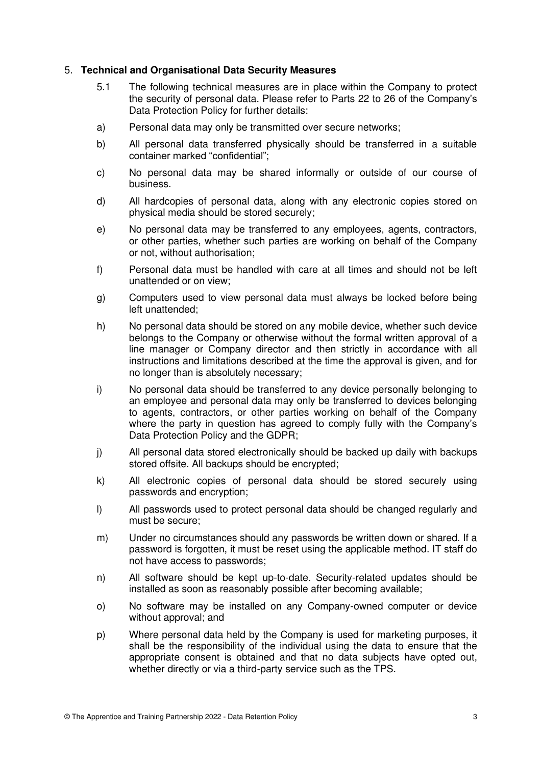## 5. **Technical and Organisational Data Security Measures**

- 5.1 The following technical measures are in place within the Company to protect the security of personal data. Please refer to Parts 22 to 26 of the Company's Data Protection Policy for further details:
- a) Personal data may only be transmitted over secure networks;
- b) All personal data transferred physically should be transferred in a suitable container marked "confidential";
- c) No personal data may be shared informally or outside of our course of business.
- d) All hardcopies of personal data, along with any electronic copies stored on physical media should be stored securely;
- e) No personal data may be transferred to any employees, agents, contractors, or other parties, whether such parties are working on behalf of the Company or not, without authorisation;
- f) Personal data must be handled with care at all times and should not be left unattended or on view;
- g) Computers used to view personal data must always be locked before being left unattended;
- h) No personal data should be stored on any mobile device, whether such device belongs to the Company or otherwise without the formal written approval of a line manager or Company director and then strictly in accordance with all instructions and limitations described at the time the approval is given, and for no longer than is absolutely necessary;
- i) No personal data should be transferred to any device personally belonging to an employee and personal data may only be transferred to devices belonging to agents, contractors, or other parties working on behalf of the Company where the party in question has agreed to comply fully with the Company's Data Protection Policy and the GDPR;
- j) All personal data stored electronically should be backed up daily with backups stored offsite. All backups should be encrypted;
- k) All electronic copies of personal data should be stored securely using passwords and encryption;
- l) All passwords used to protect personal data should be changed regularly and must be secure;
- m) Under no circumstances should any passwords be written down or shared. If a password is forgotten, it must be reset using the applicable method. IT staff do not have access to passwords;
- n) All software should be kept up-to-date. Security-related updates should be installed as soon as reasonably possible after becoming available;
- o) No software may be installed on any Company-owned computer or device without approval; and
- p) Where personal data held by the Company is used for marketing purposes, it shall be the responsibility of the individual using the data to ensure that the appropriate consent is obtained and that no data subjects have opted out, whether directly or via a third-party service such as the TPS.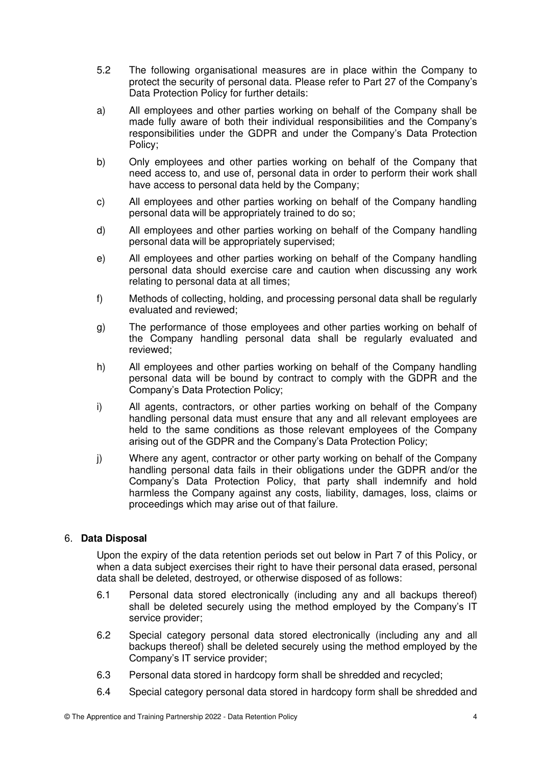- 5.2 The following organisational measures are in place within the Company to protect the security of personal data. Please refer to Part 27 of the Company's Data Protection Policy for further details:
- a) All employees and other parties working on behalf of the Company shall be made fully aware of both their individual responsibilities and the Company's responsibilities under the GDPR and under the Company's Data Protection Policy;
- b) Only employees and other parties working on behalf of the Company that need access to, and use of, personal data in order to perform their work shall have access to personal data held by the Company;
- c) All employees and other parties working on behalf of the Company handling personal data will be appropriately trained to do so;
- d) All employees and other parties working on behalf of the Company handling personal data will be appropriately supervised;
- e) All employees and other parties working on behalf of the Company handling personal data should exercise care and caution when discussing any work relating to personal data at all times;
- f) Methods of collecting, holding, and processing personal data shall be regularly evaluated and reviewed;
- g) The performance of those employees and other parties working on behalf of the Company handling personal data shall be regularly evaluated and reviewed;
- h) All employees and other parties working on behalf of the Company handling personal data will be bound by contract to comply with the GDPR and the Company's Data Protection Policy;
- i) All agents, contractors, or other parties working on behalf of the Company handling personal data must ensure that any and all relevant employees are held to the same conditions as those relevant employees of the Company arising out of the GDPR and the Company's Data Protection Policy;
- j) Where any agent, contractor or other party working on behalf of the Company handling personal data fails in their obligations under the GDPR and/or the Company's Data Protection Policy, that party shall indemnify and hold harmless the Company against any costs, liability, damages, loss, claims or proceedings which may arise out of that failure.

# 6. **Data Disposal**

Upon the expiry of the data retention periods set out below in Part 7 of this Policy, or when a data subject exercises their right to have their personal data erased, personal data shall be deleted, destroyed, or otherwise disposed of as follows:

- 6.1 Personal data stored electronically (including any and all backups thereof) shall be deleted securely using the method employed by the Company's IT service provider;
- 6.2 Special category personal data stored electronically (including any and all backups thereof) shall be deleted securely using the method employed by the Company's IT service provider;
- 6.3 Personal data stored in hardcopy form shall be shredded and recycled;
- 6.4 Special category personal data stored in hardcopy form shall be shredded and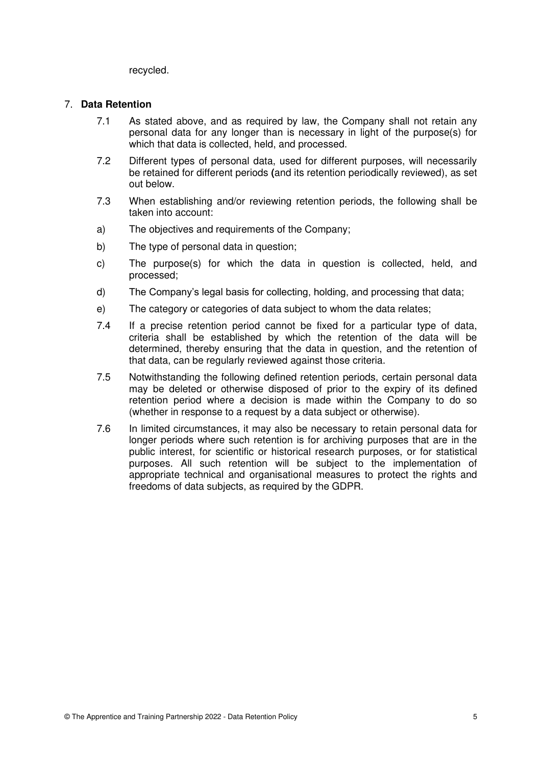recycled.

#### 7. **Data Retention**

- 7.1 As stated above, and as required by law, the Company shall not retain any personal data for any longer than is necessary in light of the purpose(s) for which that data is collected, held, and processed.
- 7.2 Different types of personal data, used for different purposes, will necessarily be retained for different periods **(**and its retention periodically reviewed), as set out below.
- 7.3 When establishing and/or reviewing retention periods, the following shall be taken into account:
- a) The objectives and requirements of the Company;
- b) The type of personal data in question;
- c) The purpose(s) for which the data in question is collected, held, and processed;
- d) The Company's legal basis for collecting, holding, and processing that data;
- e) The category or categories of data subject to whom the data relates;
- 7.4 If a precise retention period cannot be fixed for a particular type of data, criteria shall be established by which the retention of the data will be determined, thereby ensuring that the data in question, and the retention of that data, can be regularly reviewed against those criteria.
- 7.5 Notwithstanding the following defined retention periods, certain personal data may be deleted or otherwise disposed of prior to the expiry of its defined retention period where a decision is made within the Company to do so (whether in response to a request by a data subject or otherwise).
- 7.6 In limited circumstances, it may also be necessary to retain personal data for longer periods where such retention is for archiving purposes that are in the public interest, for scientific or historical research purposes, or for statistical purposes. All such retention will be subject to the implementation of appropriate technical and organisational measures to protect the rights and freedoms of data subjects, as required by the GDPR.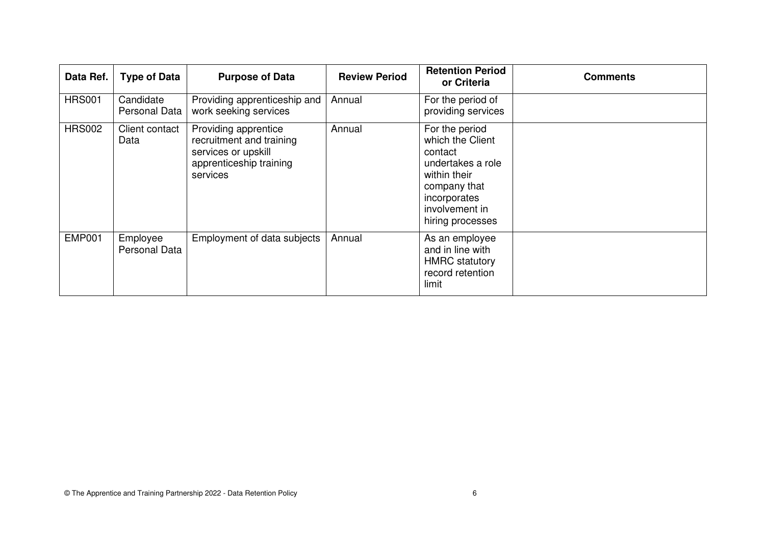| Data Ref.     | <b>Type of Data</b>        | <b>Purpose of Data</b>                                                                                         | <b>Review Period</b> | <b>Retention Period</b><br>or Criteria                                                                                                                   | <b>Comments</b> |
|---------------|----------------------------|----------------------------------------------------------------------------------------------------------------|----------------------|----------------------------------------------------------------------------------------------------------------------------------------------------------|-----------------|
| <b>HRS001</b> | Candidate<br>Personal Data | Providing apprenticeship and<br>work seeking services                                                          | Annual               | For the period of<br>providing services                                                                                                                  |                 |
| <b>HRS002</b> | Client contact<br>Data     | Providing apprentice<br>recruitment and training<br>services or upskill<br>apprenticeship training<br>services | Annual               | For the period<br>which the Client<br>contact<br>undertakes a role<br>within their<br>company that<br>incorporates<br>involvement in<br>hiring processes |                 |
| <b>EMP001</b> | Employee<br>Personal Data  | Employment of data subjects                                                                                    | Annual               | As an employee<br>and in line with<br><b>HMRC</b> statutory<br>record retention<br>limit                                                                 |                 |